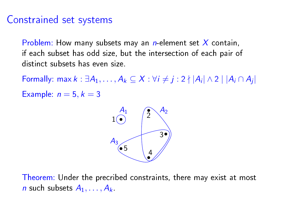## Constrained set systems

Problem: How many subsets may an *n*-element set  $X$  contain, if each subset has odd size, but the intersection of each pair of distinct subsets has even size.

Formally: max  $k : \exists A_1, \ldots, A_k \subseteq X : \forall i \neq j : 2 \nmid |A_i| \wedge 2 \mid |A_i \cap A_j|$ Example:  $n = 5, k = 3$ 



Theorem: Under the precribed constraints, there may exist at most n such subsets  $A_1, \ldots, A_k$ .